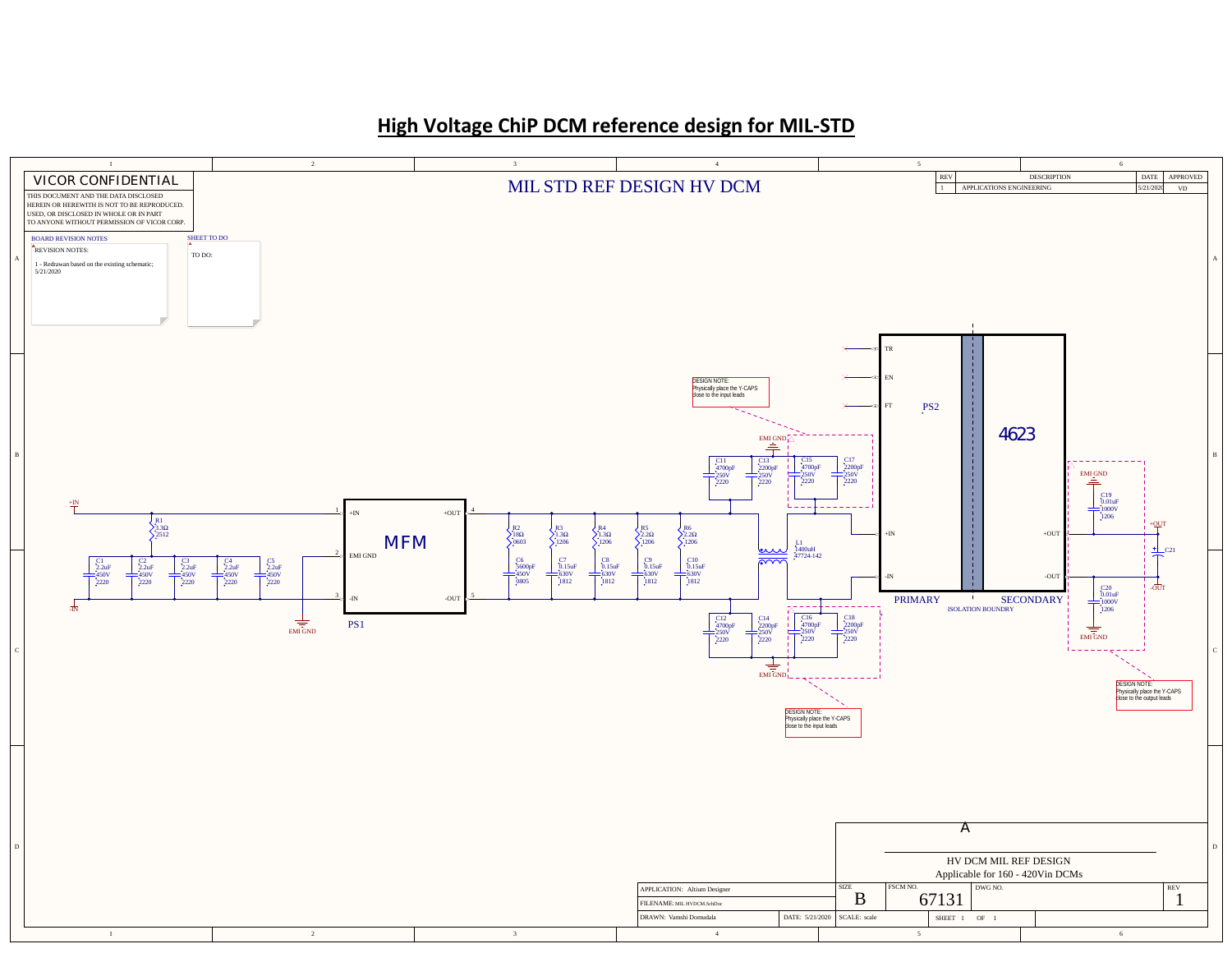## **High Voltage ChiP DCM reference design for MIL-STD**

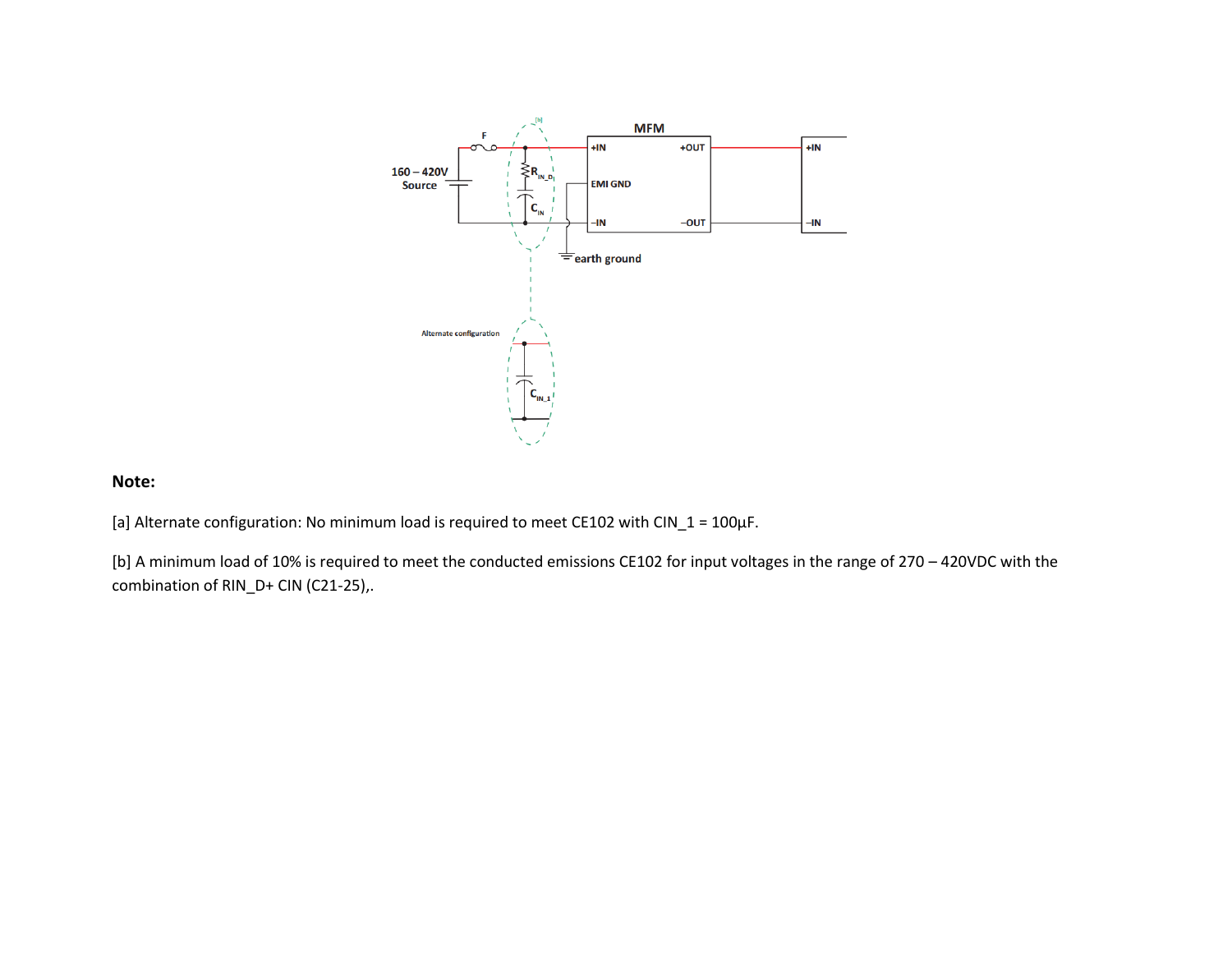

## **Note:**

[a] Alternate configuration: No minimum load is required to meet CE102 with CIN\_1 =  $100\mu$ F.

[b] A minimum load of 10% is required to meet the conducted emissions CE102 for input voltages in the range of 270 – 420VDC with the combination of RIN\_D+ CIN (C21-25),.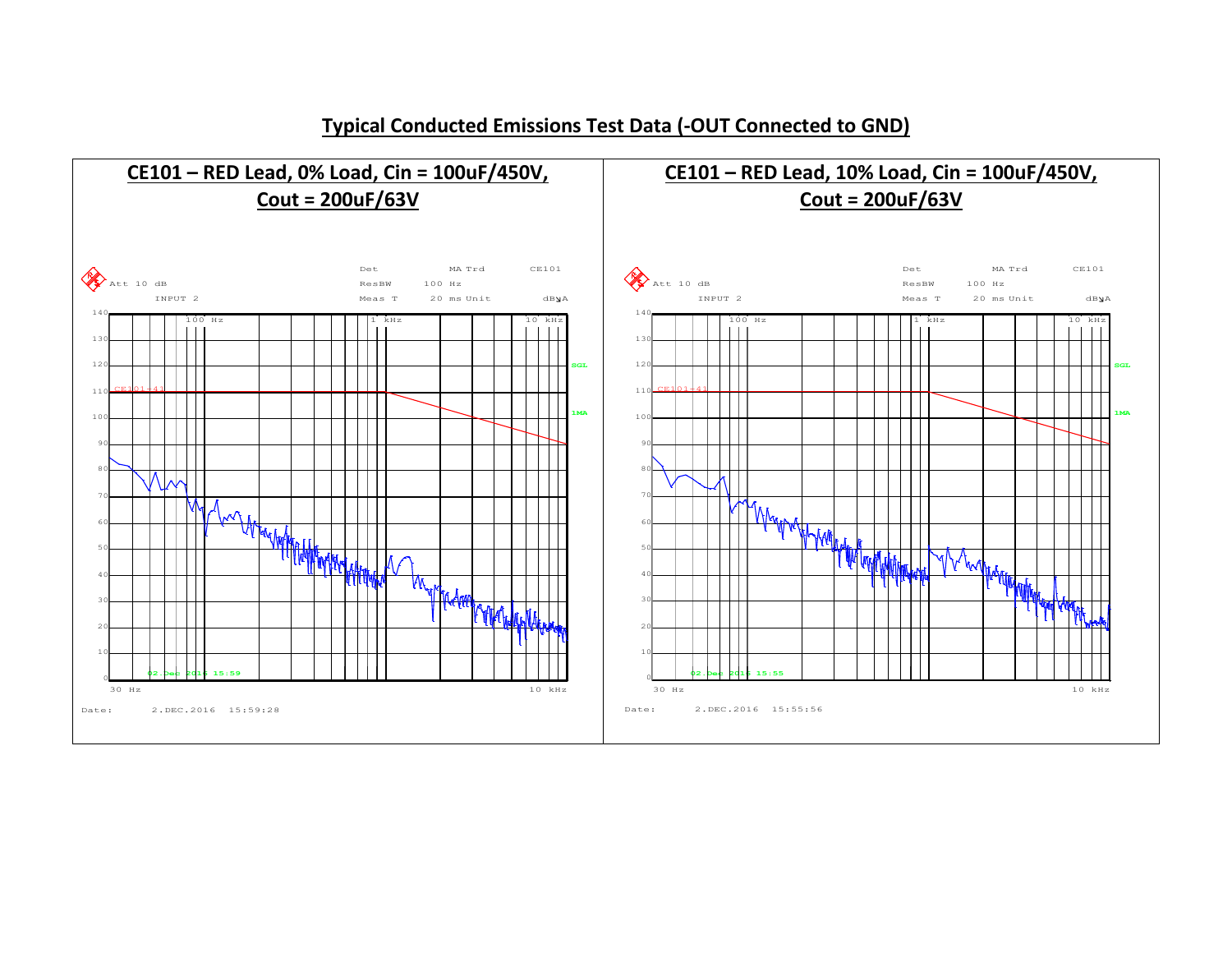

**Typical Conducted Emissions Test Data (-OUT Connected to GND)**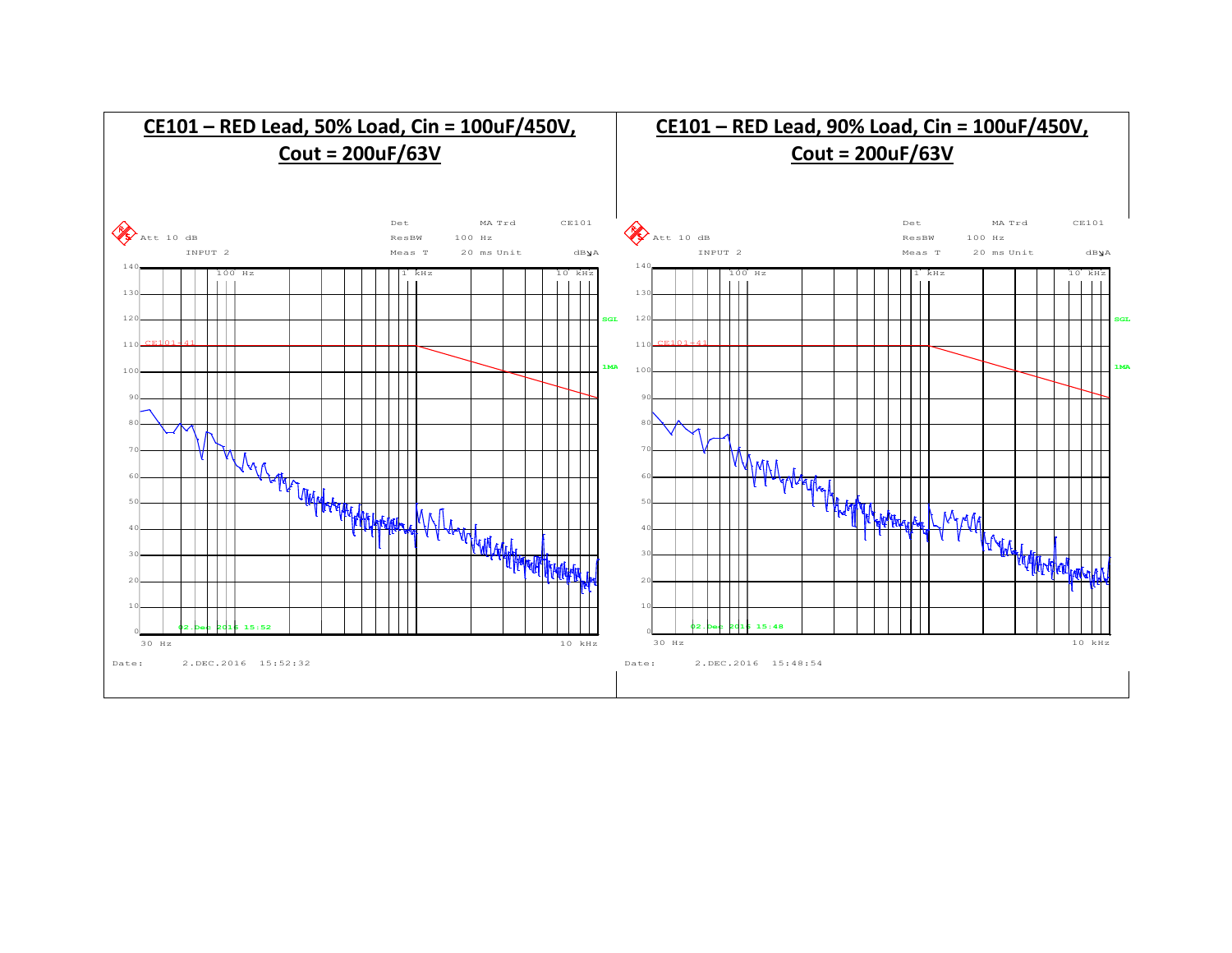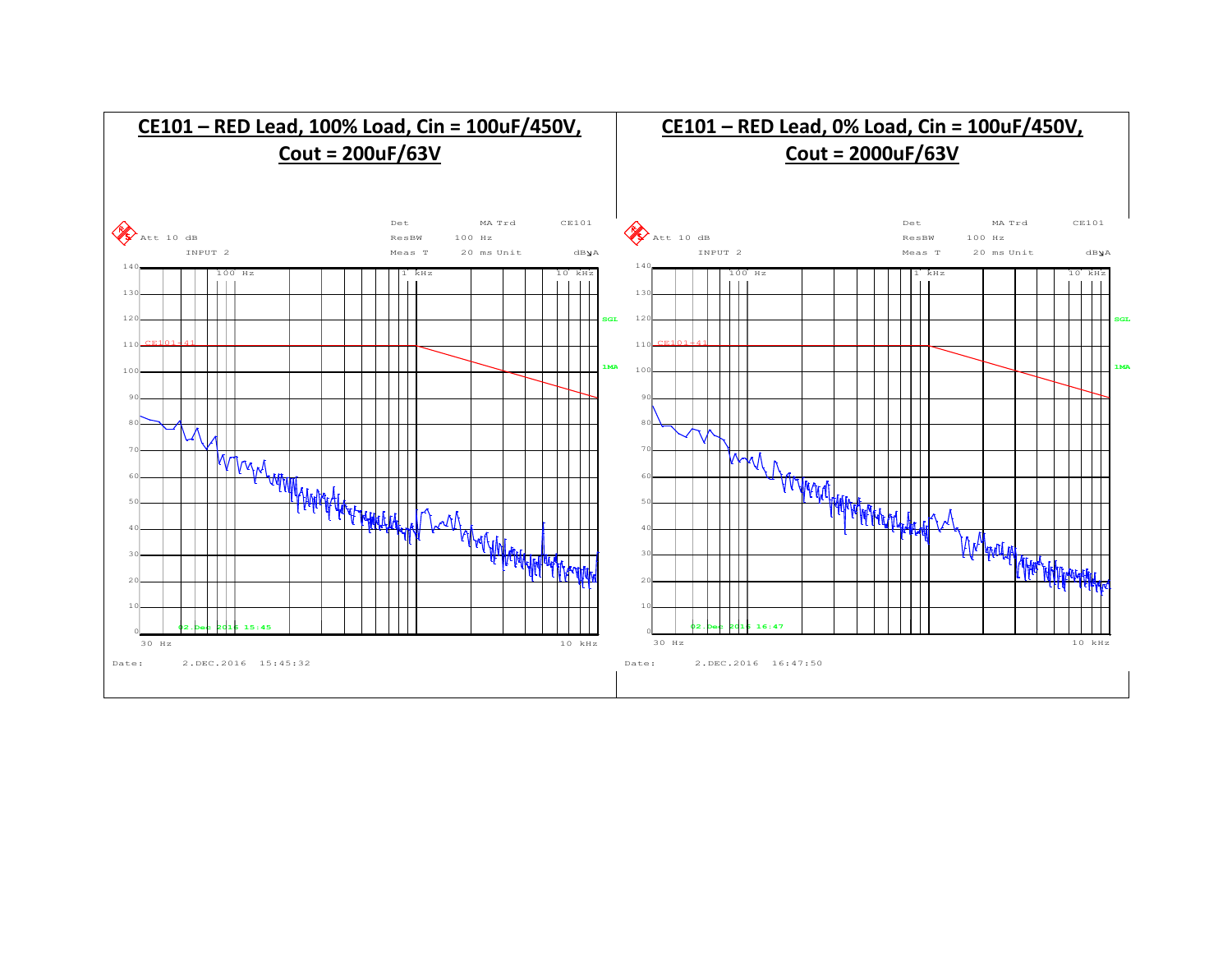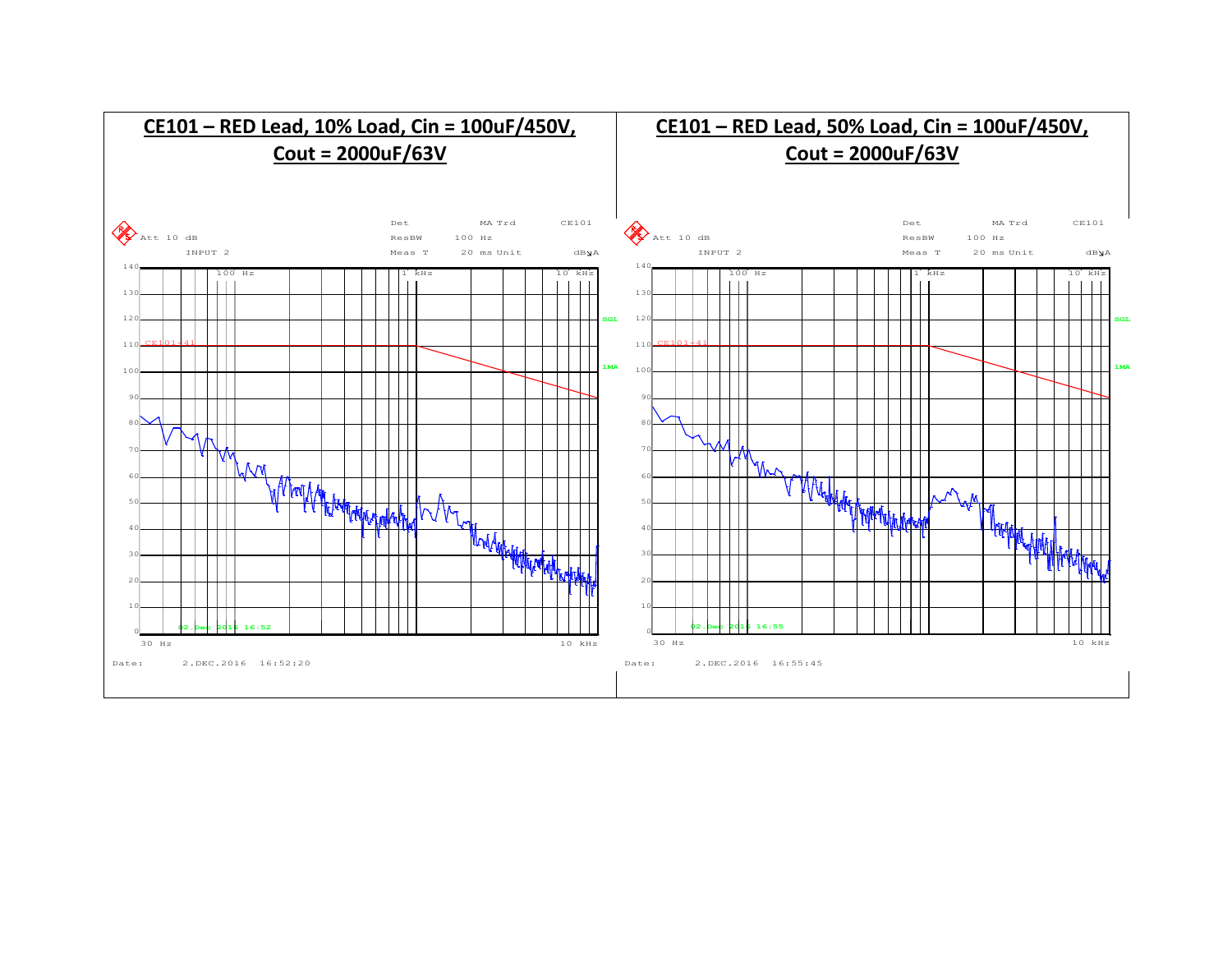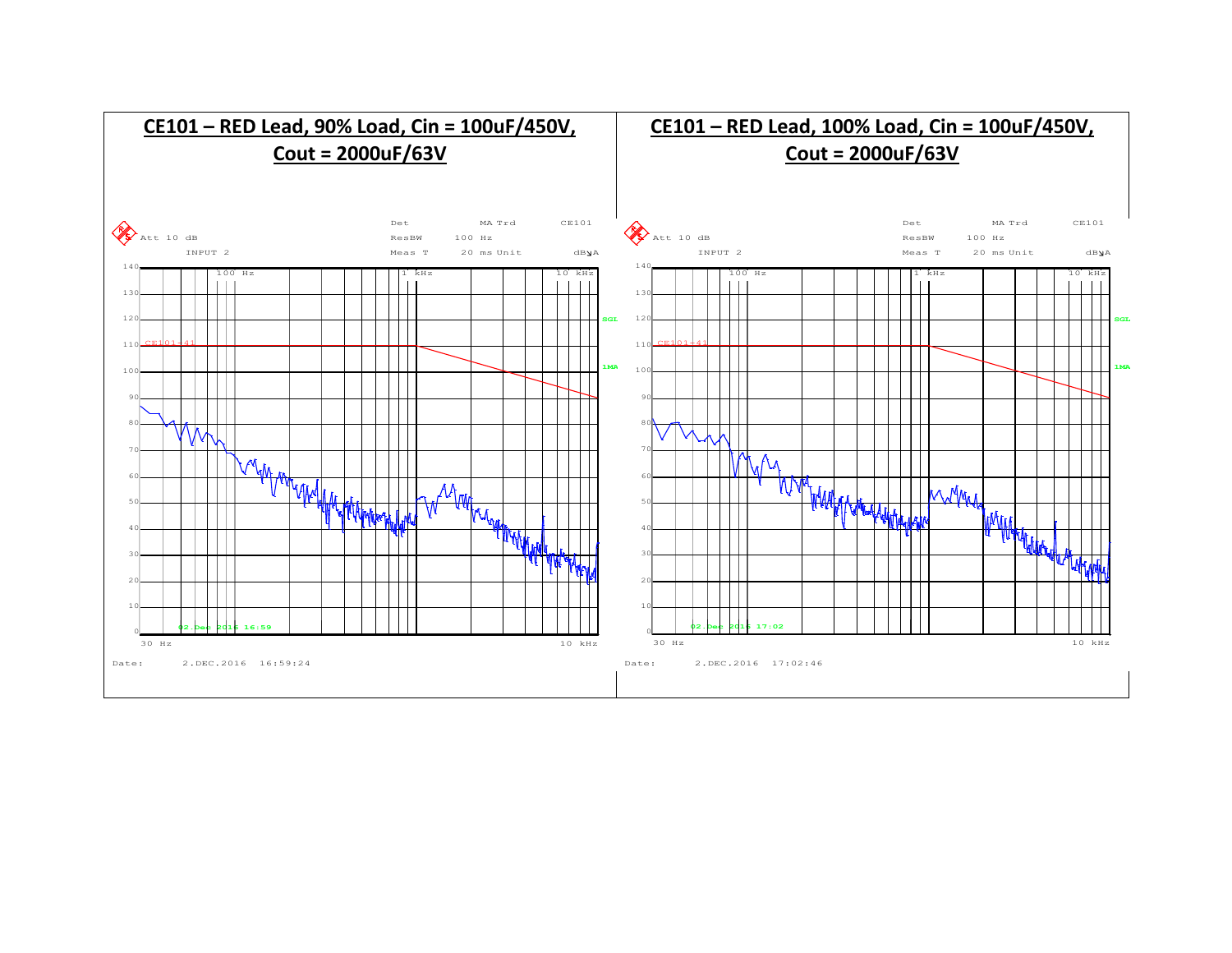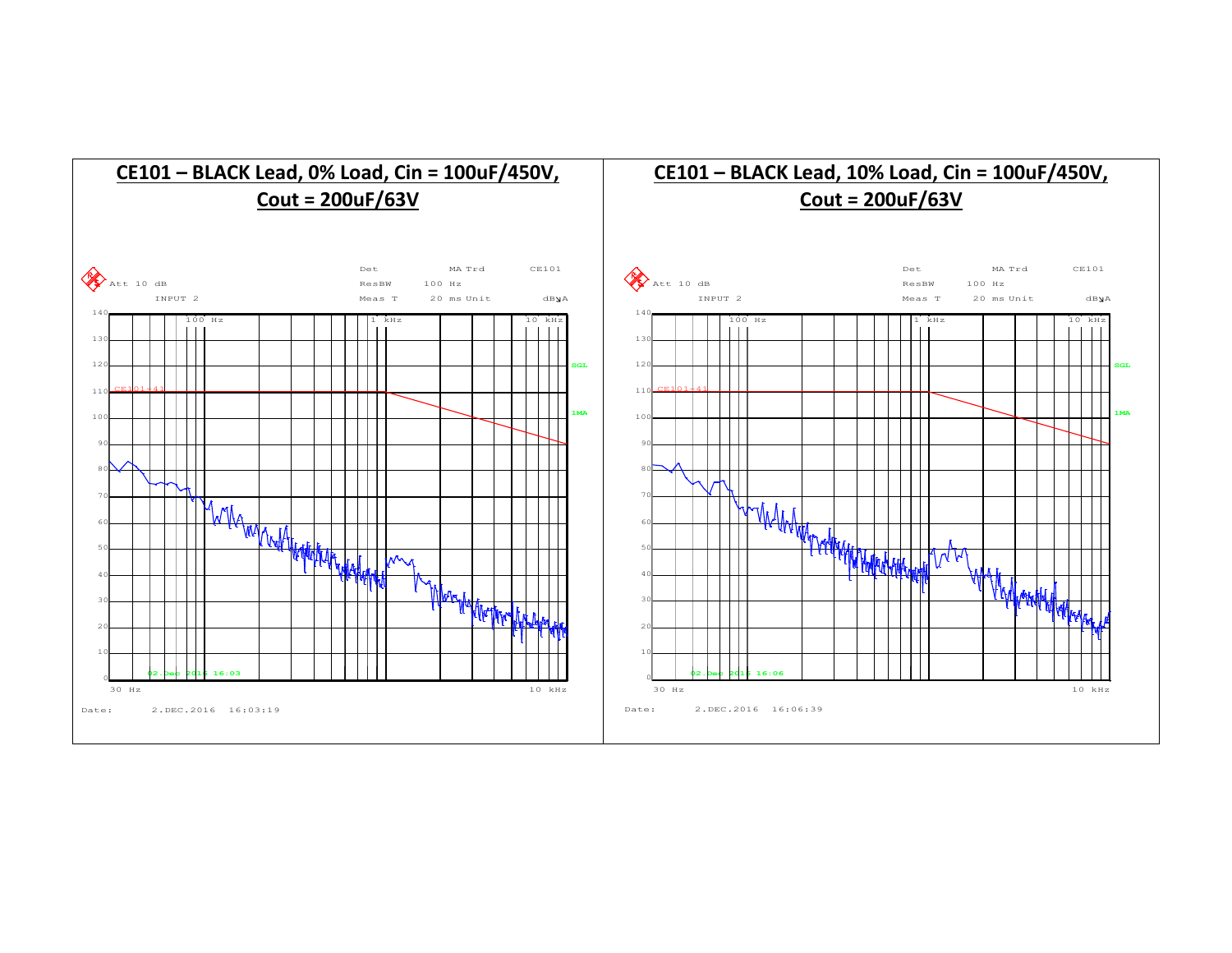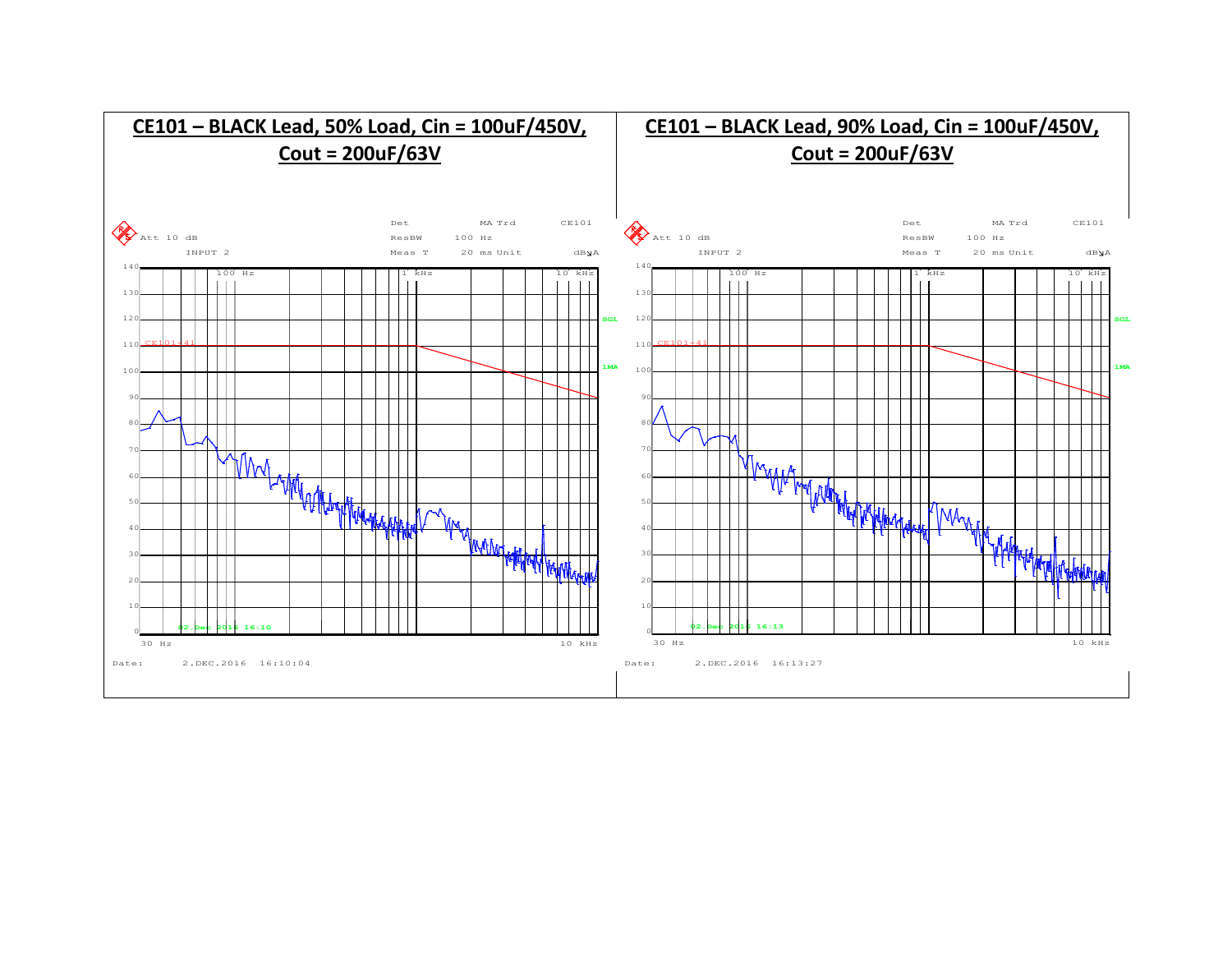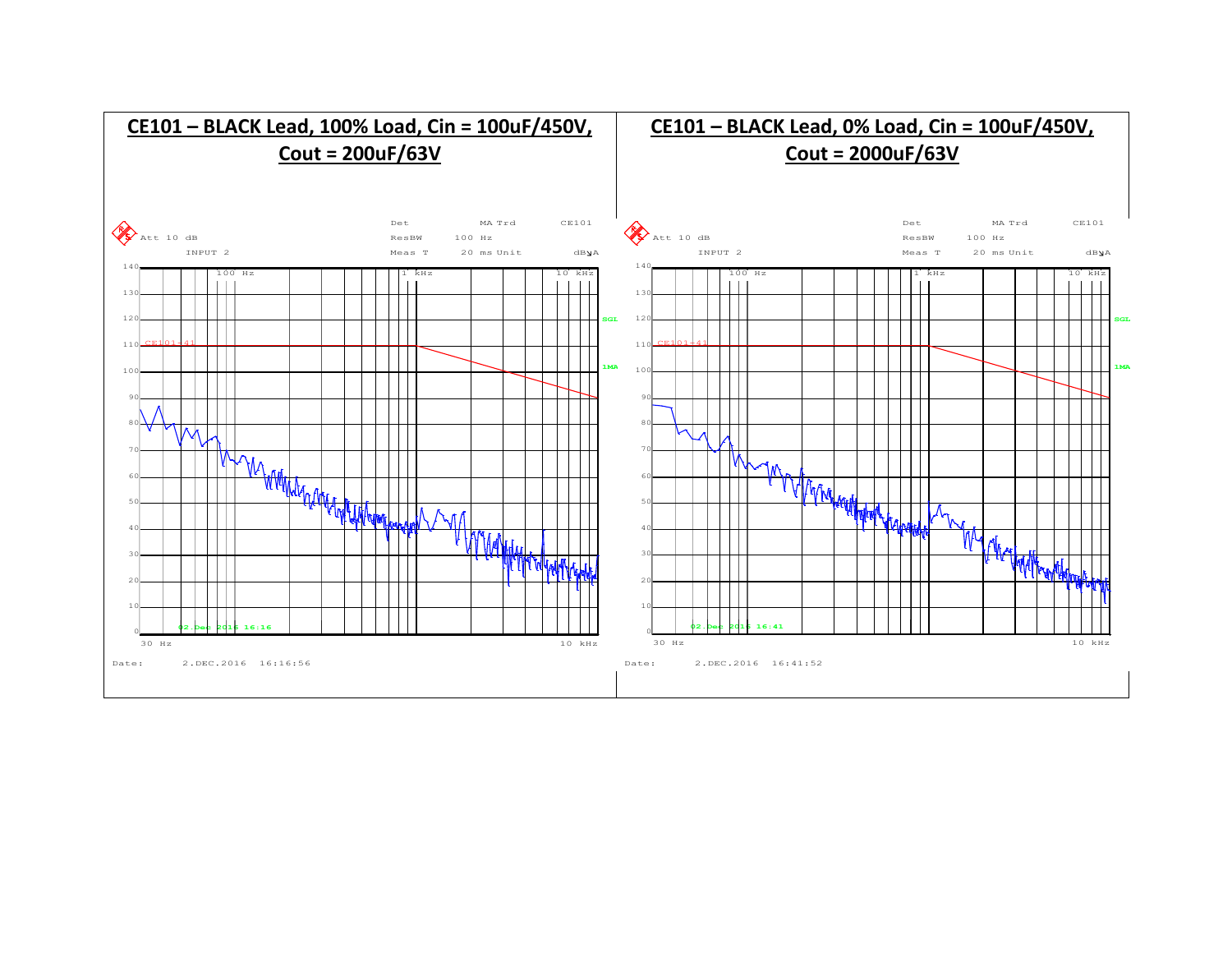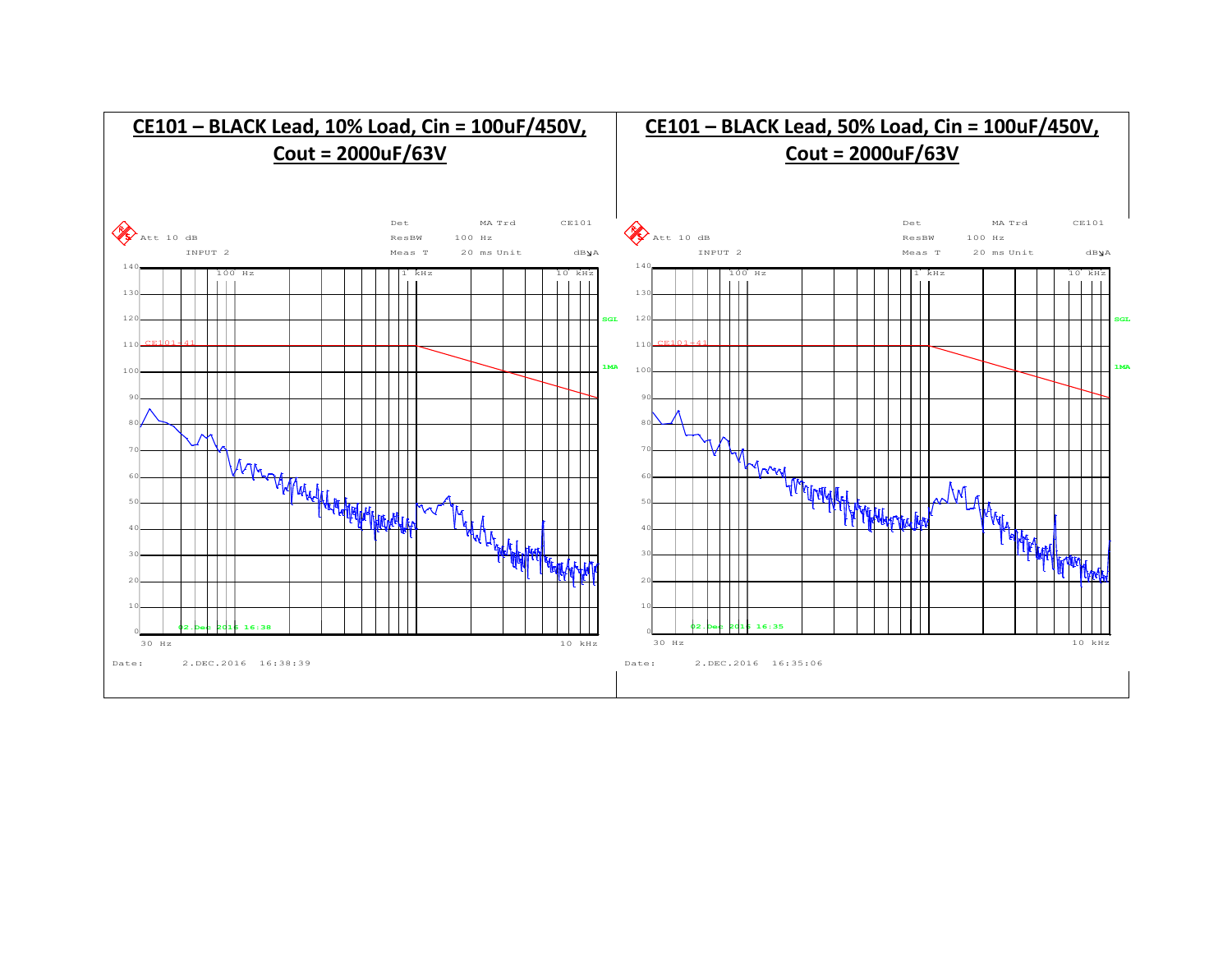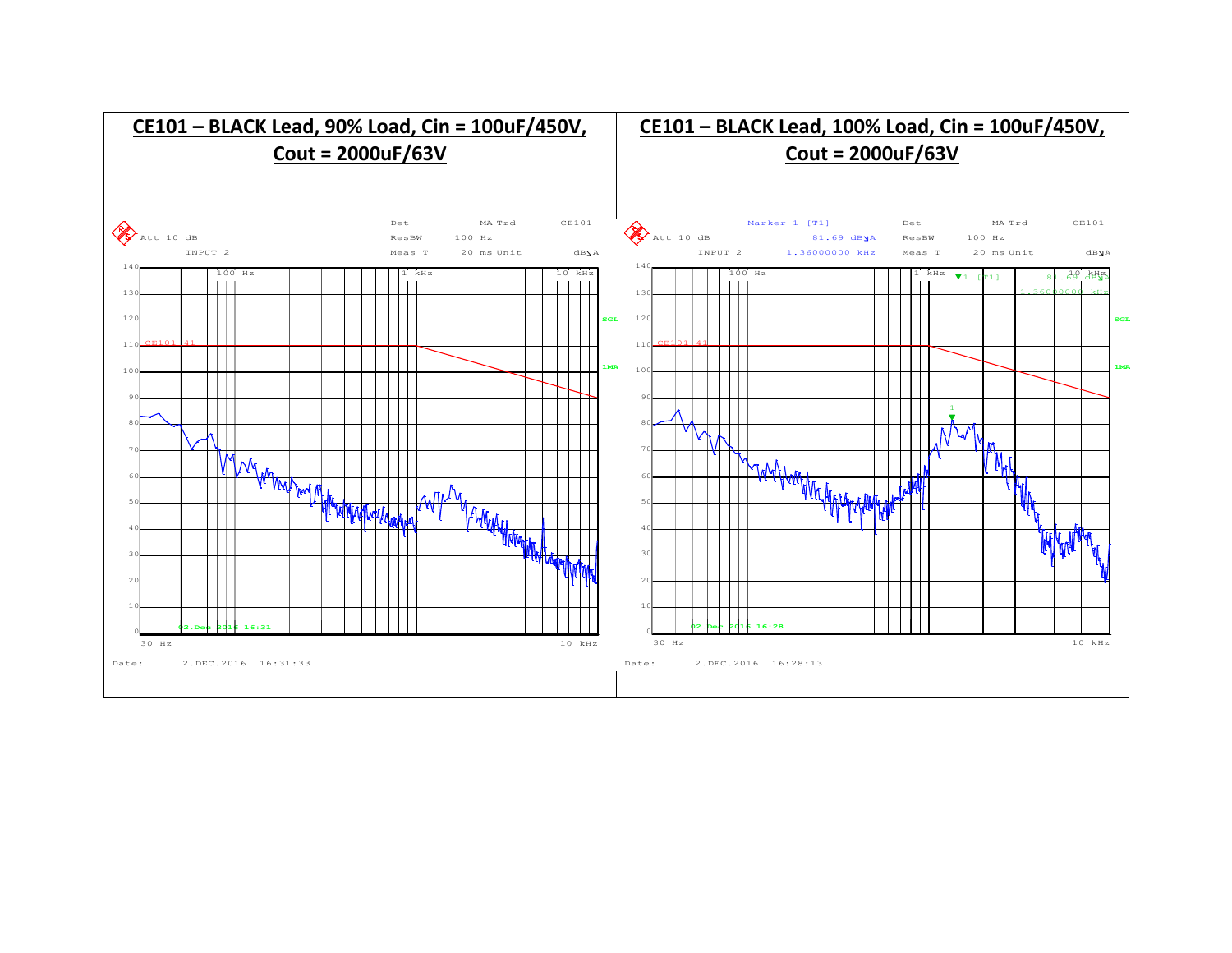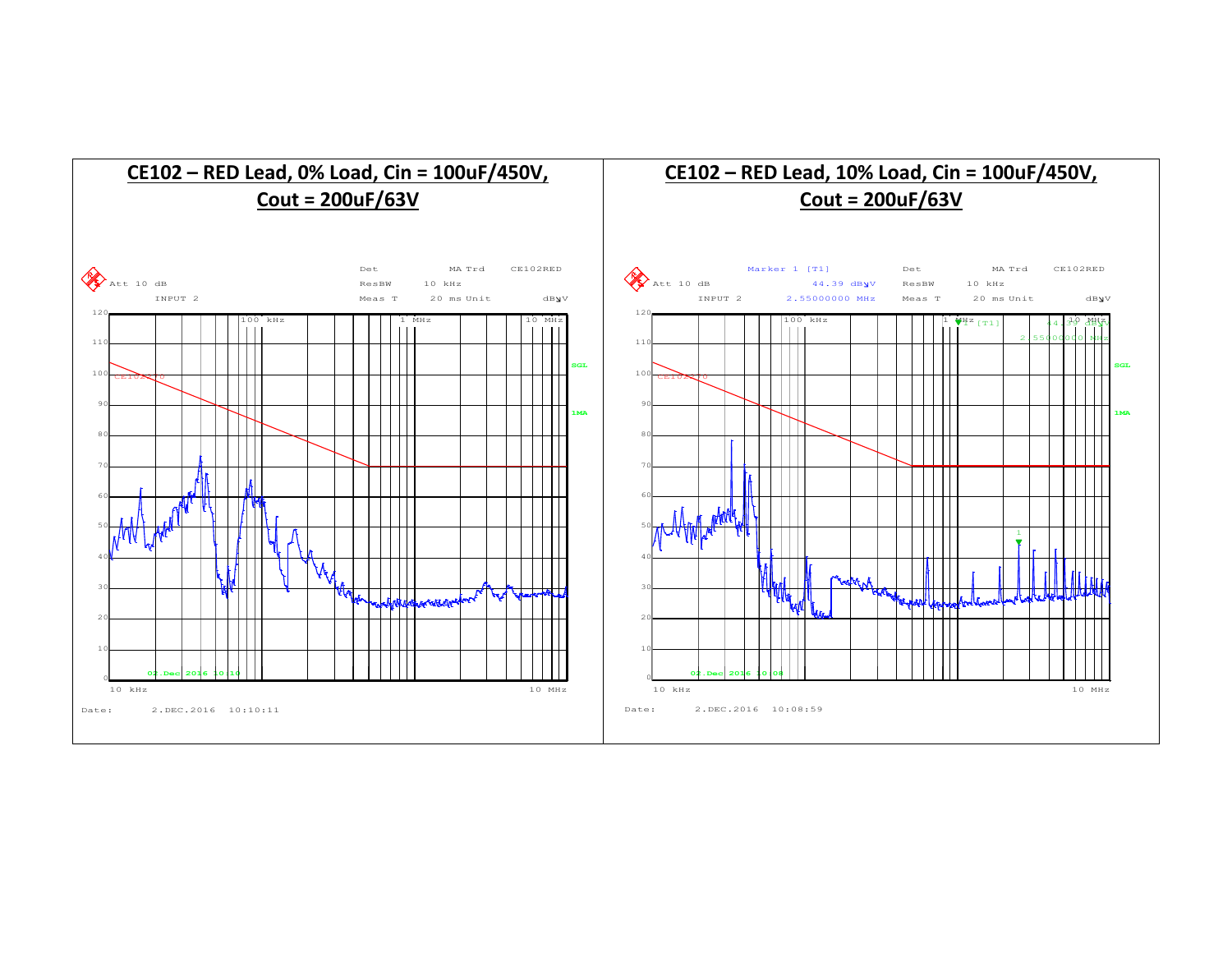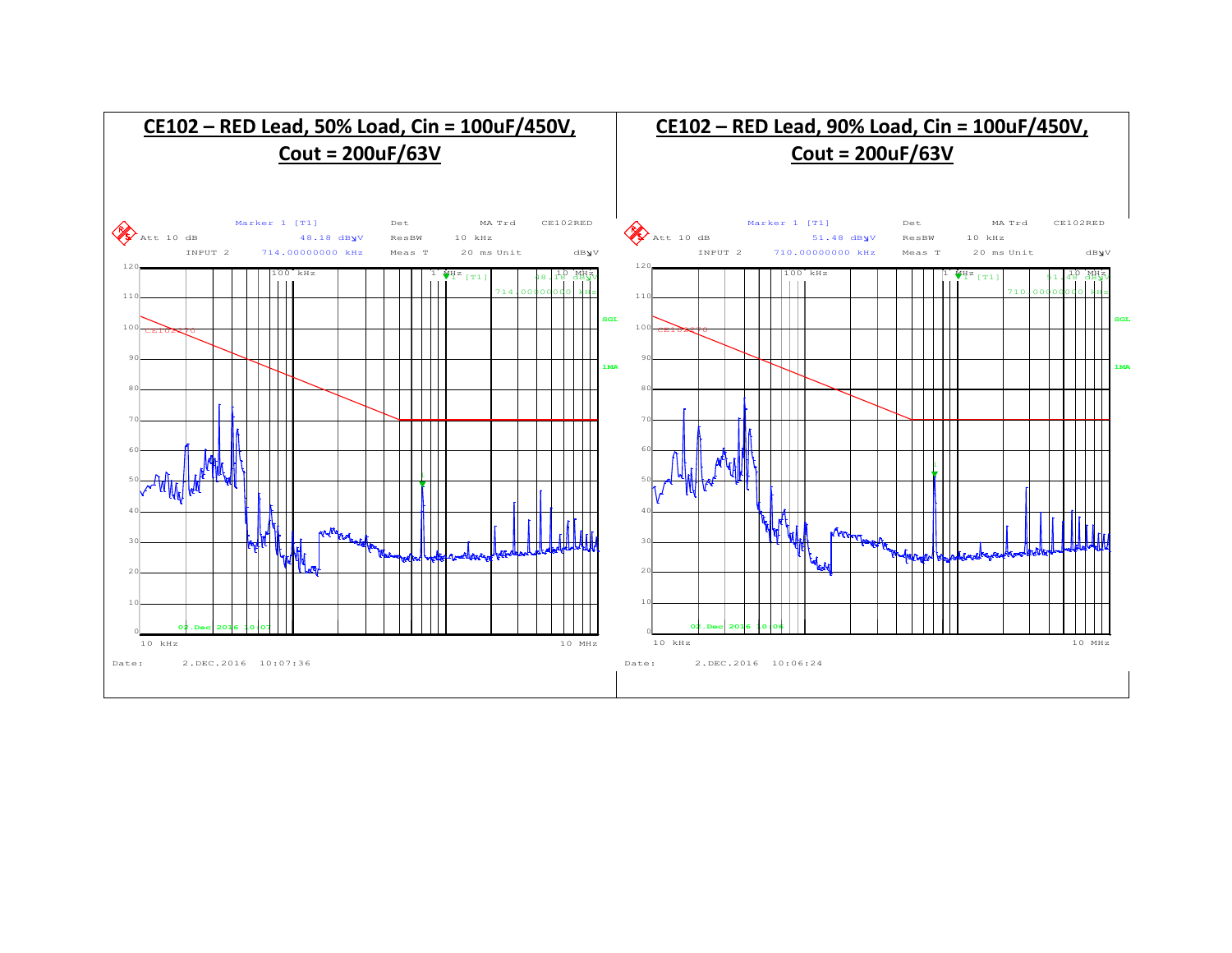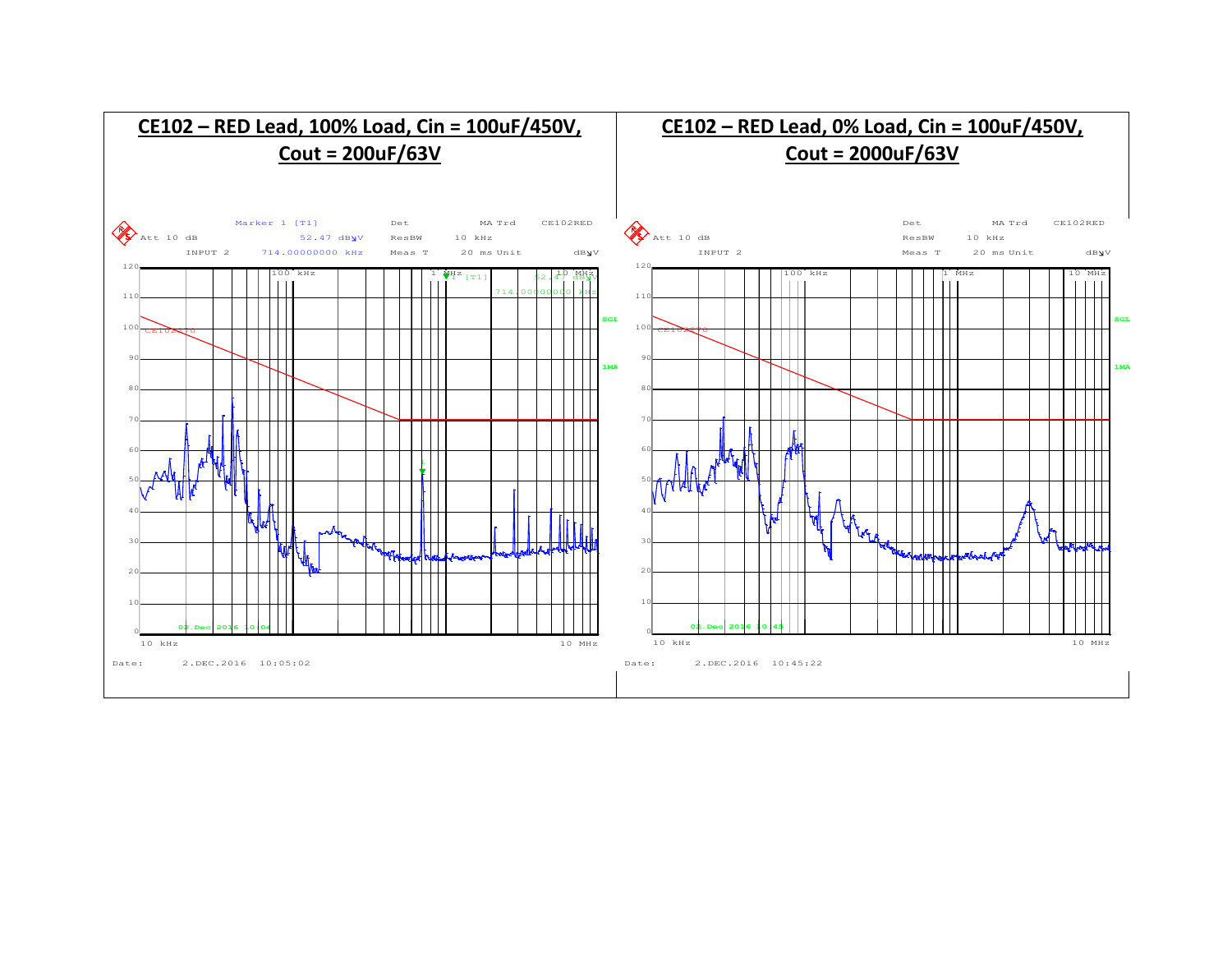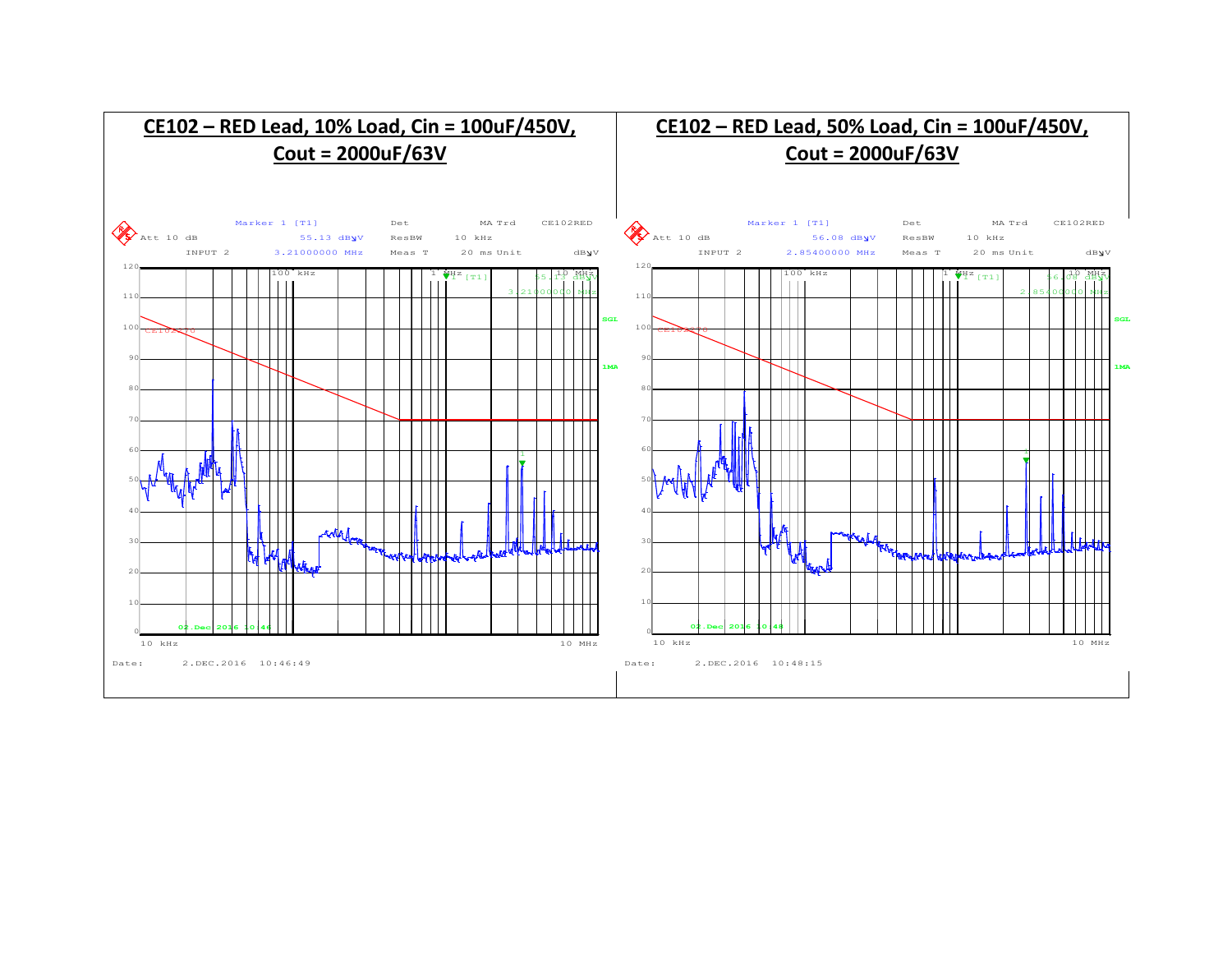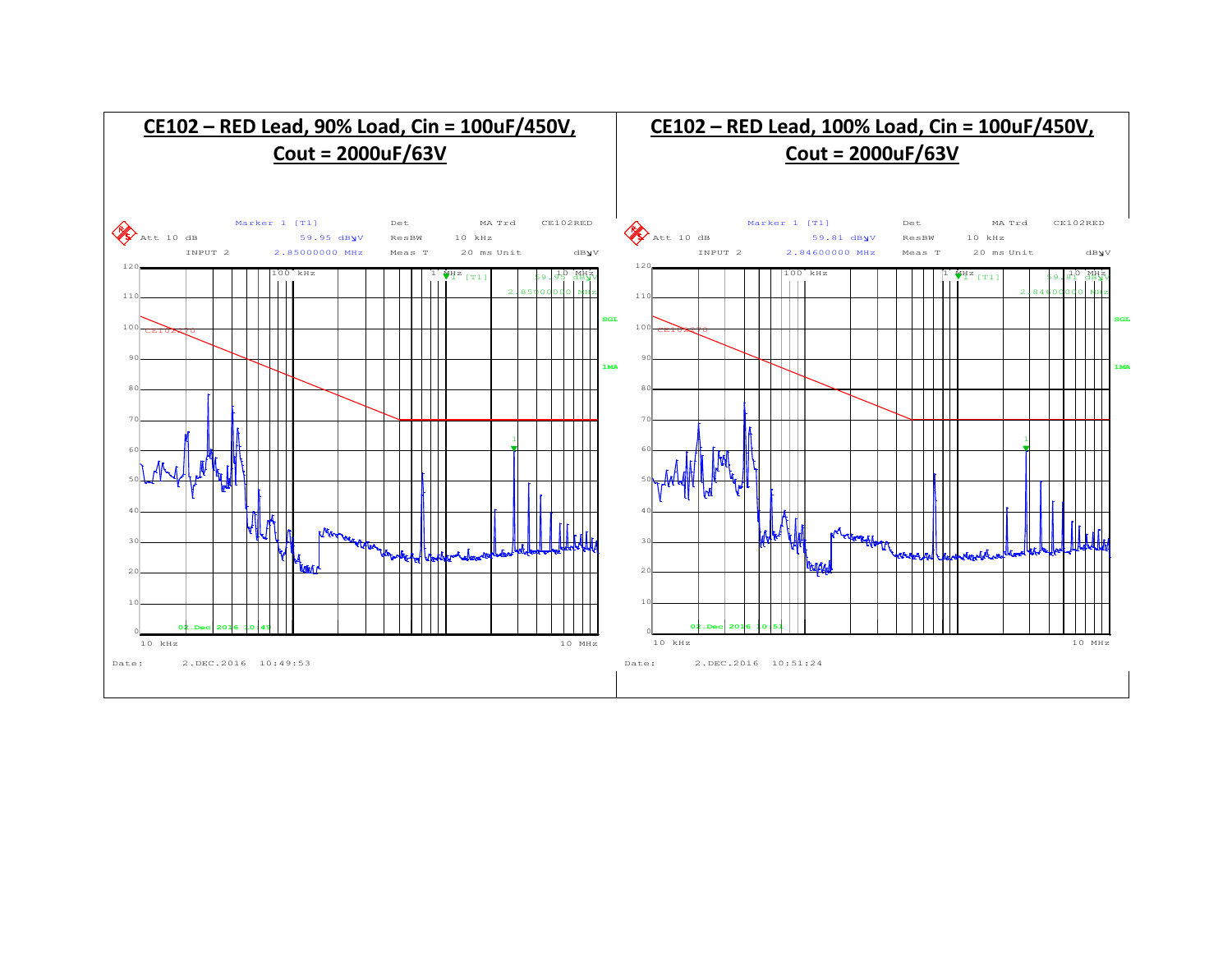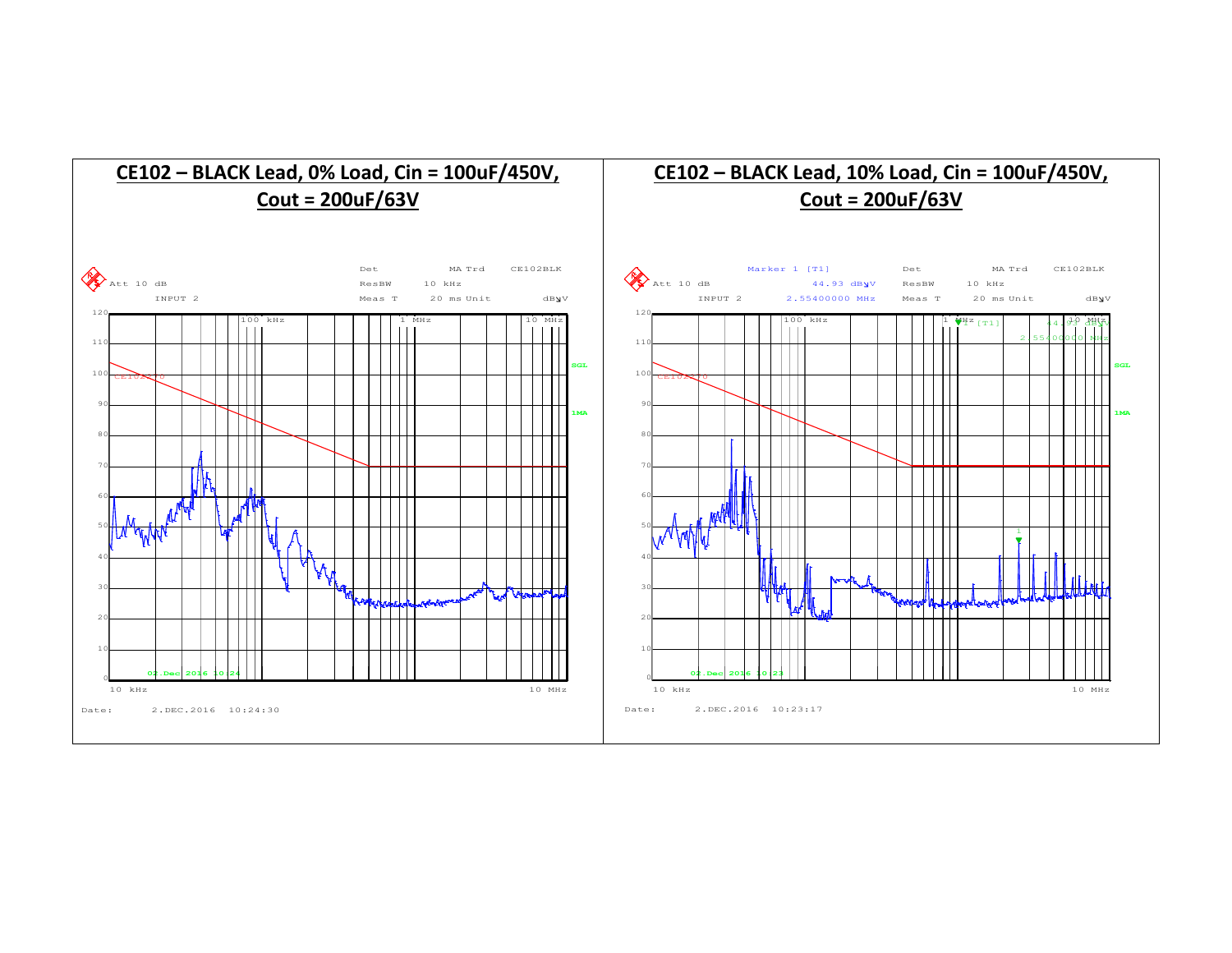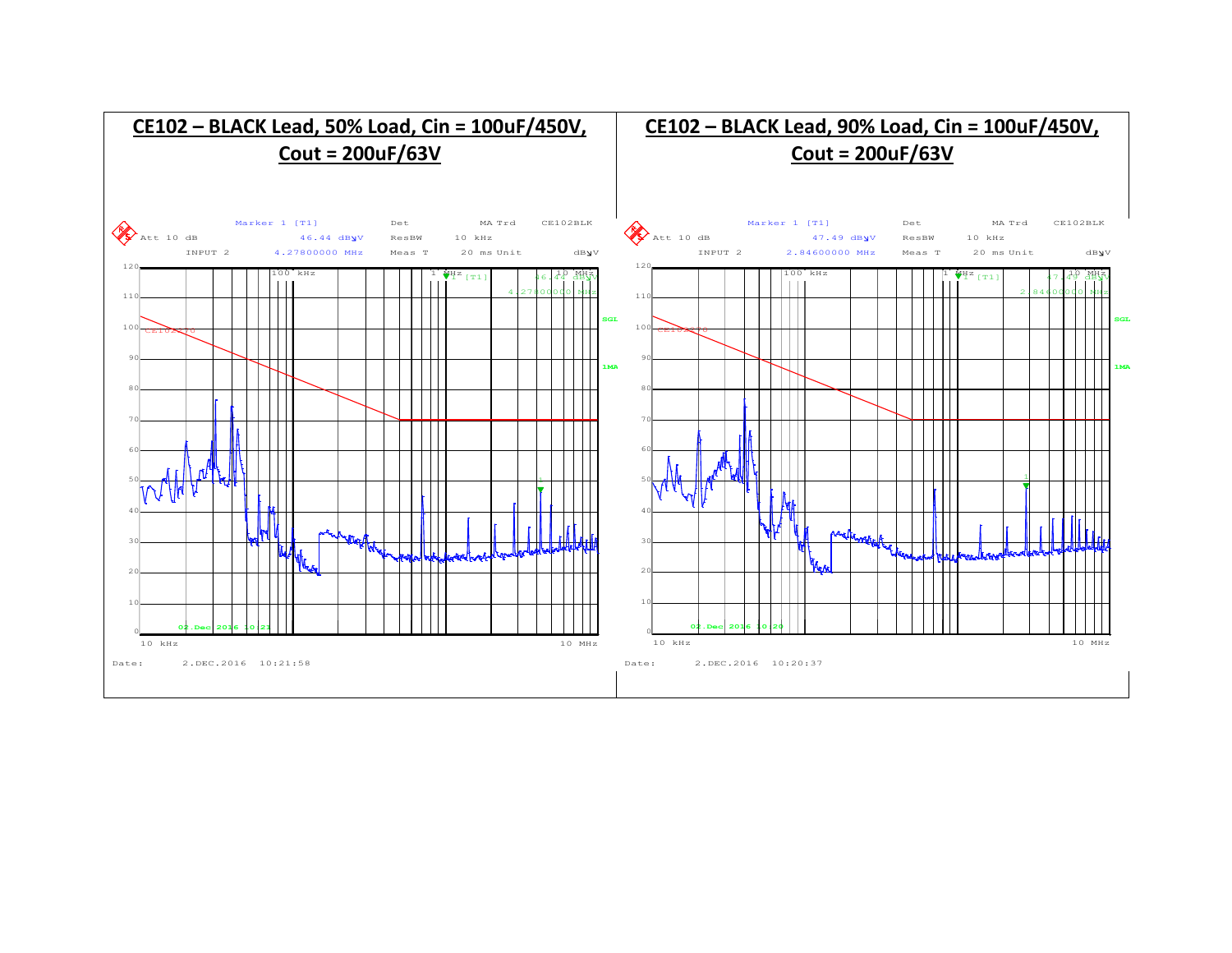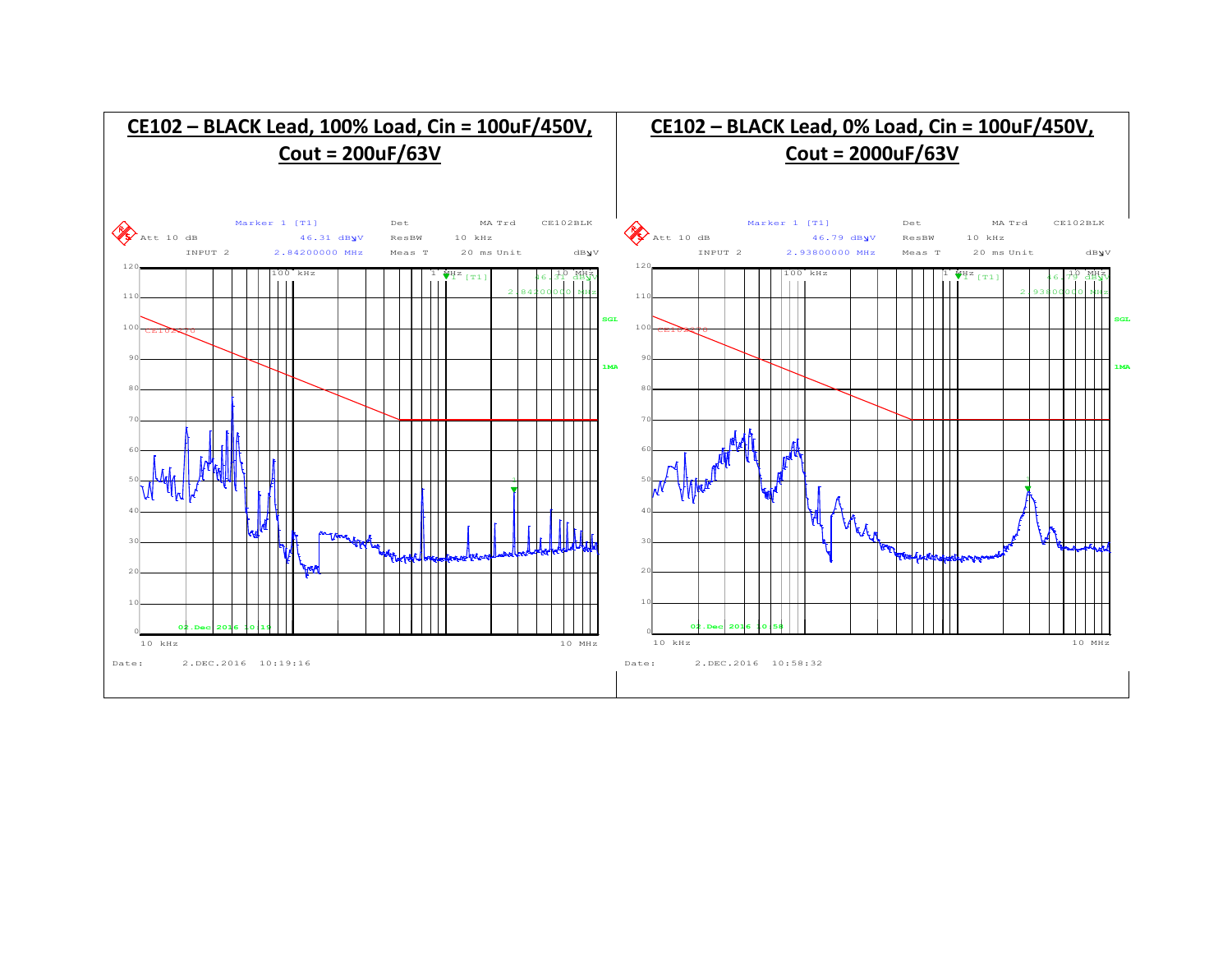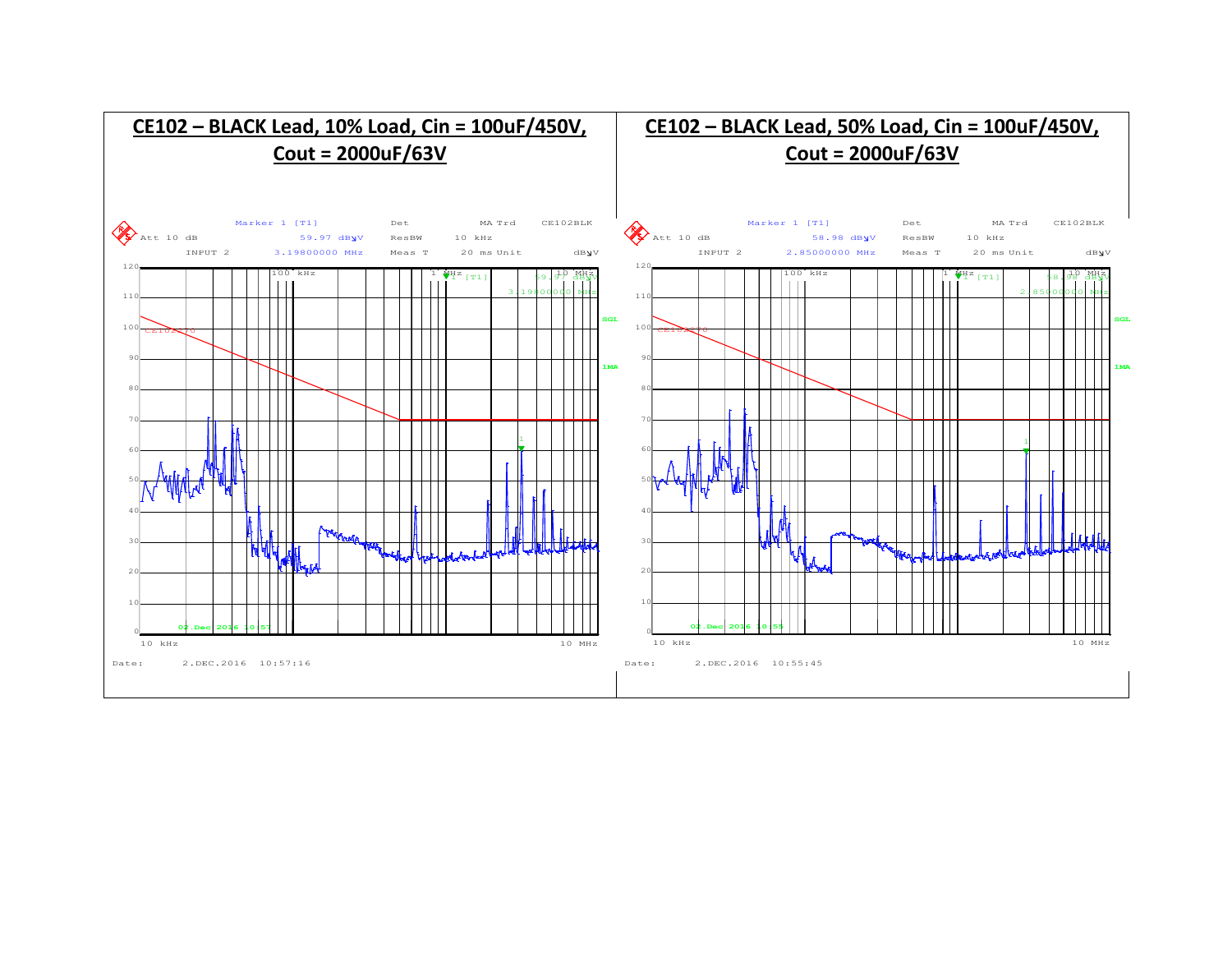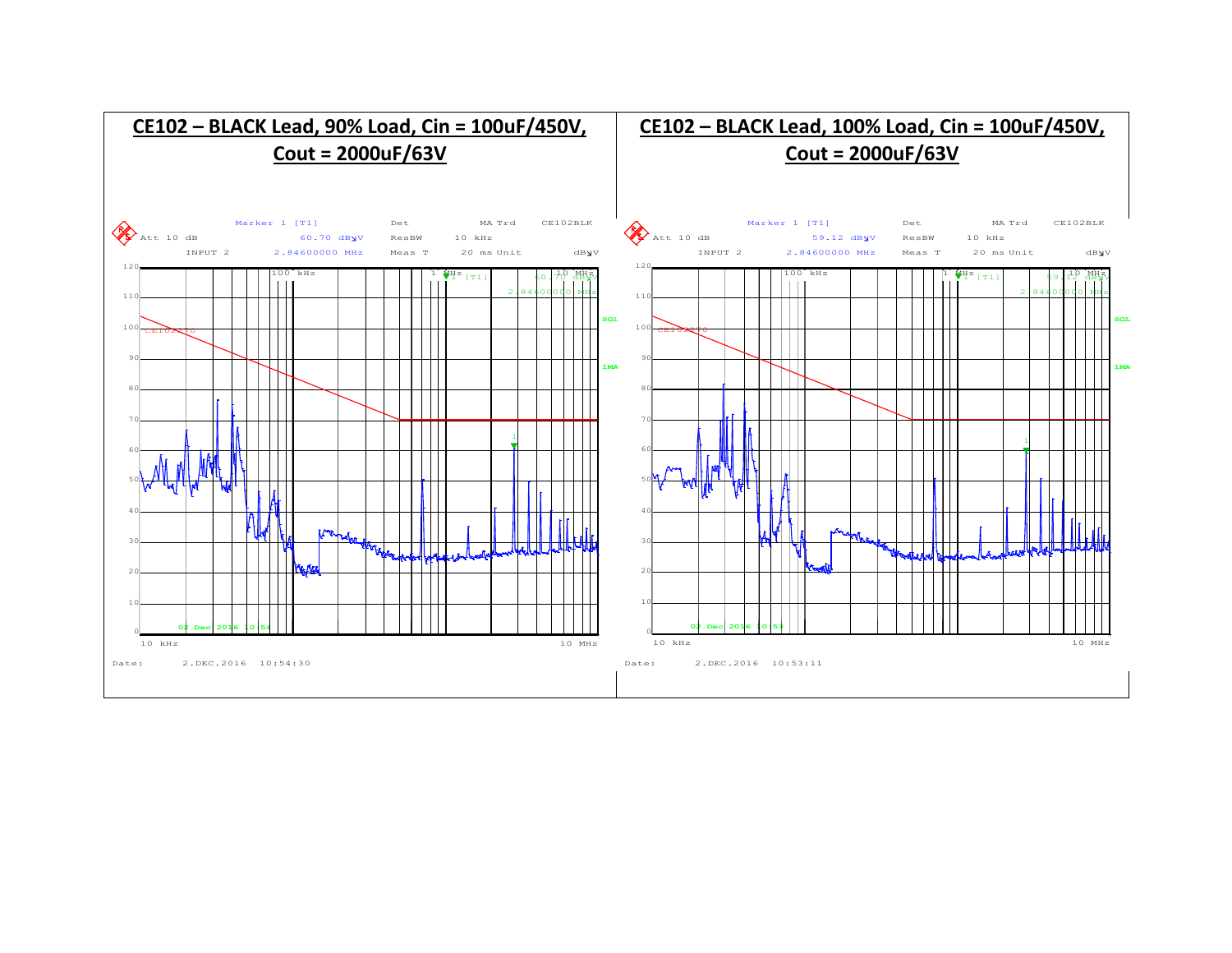